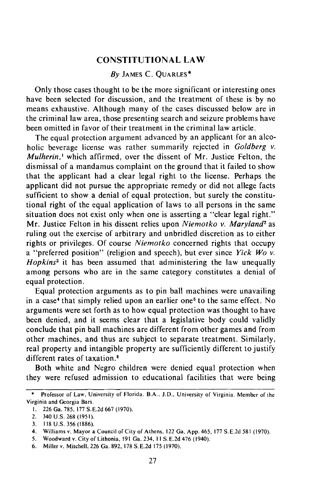## **CONSTITUTIONAL LAW**

# By **JAMES** C. **QUARLES\***

Only those cases thought to be the more significant or interesting ones have been selected for discussion, and the treatment of these is by no means exhaustive. Although many of the cases discussed below are in the criminal law area, those presenting search and seizure problems have been omitted in favor of their treatment in the criminal law article.

The equal protection argument advanced by an applicant for an alcoholic beverage license was rather summarily rejected in Goldberg *v. Mulherin,'* which affirmed, over the dissent of Mr. Justice Felton, the dismissal of a mandamus complaint on the ground that it failed to show that the applicant had a clear legal right to the license. Perhaps the applicant did not pursue the appropriate remedy or did not allege facts sufficient to show a denial of equal protection, but surely the constitutional right of the equal application of laws to all persons in the same situation does not exist only when one is asserting a "clear legal right." Mr. Justice Felton in his dissent relies upon Niemotko *v. Maryland'* as ruling out the exercise of arbitrary and unbridled discretion as to either rights or privileges. Of course *Niemotko* concerned rights that occupy a "preferred position" (religion and speech), but ever since *Yick Wo v. Hopkins3* it has been assumed that administering the law unequally among persons who are in the same category constitutes a denial of equal protection.

Equal protection arguments as to pin ball machines were unavailing in a case' that simply relied upon an earlier one5 to the same effect. No arguments were set forth as to how equal protection was thought to have been denied, and it seems clear that a legislative body could validly conclude that pin ball machines are different from other games and from other machines, and thus are subject to separate treatment. Similarly, real property and intangible property are sufficiently different to justify different rates of taxation.<sup>6</sup>

Both white and Negro children were denied equal protection when they were refused admission to educational facilities that were being

<sup>\*</sup> Professor of Law, University of Florida. B.A.. J.D., University of Virginia. Member of the Virginia and Georgia Bars.

I. 226 Ga. 785, 177 S.E.2d 667 (1970).

<sup>2. 340</sup> U.S. 268 (1951).

<sup>3. 118</sup> U.S. 356 (1886).

<sup>4.</sup> Williams v. Mayor **&** Council of City of Athens, 122 Ga. App. 465, 177 S.E.2d 581 (1970).

<sup>5.</sup> Woodward v. City of Lithonia, 191 Ga. 234, II S.E.2d 476 (1940).

<sup>6.</sup> Miller v. Mitchell, 226 Ga. 892, 178 S.E.2d 175 (1970).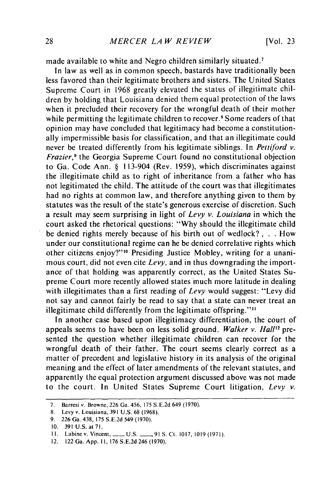made available to white and Negro children similarly situated.<sup>7</sup>

In law as well as in common speech, bastards have traditionally been less favored than their legitimate brothers and sisters. The United States Supreme Court in 1968 greatly elevated the status of illegitimate children by holding that Louisiana denied them equal protection of the laws when it precluded their recovery for the wrongful death of their mother while permitting the legitimate children to recover.<sup>8</sup> Some readers of that opinion may have concluded that legitimacy had become a constitutionally impermissible basis for classification, and that an illegitimate could never be treated differently from his legitimate siblings. In *Pettiford v. Frazier*,<sup>9</sup> the Georgia Supreme Court found no constitutional objection to Ga. Code Ann. § 113-904 (Rev. 1959), which discriminates against the illegitimate child as to right of inheritance from a father who has not legitimated the child. The attitude of the court was that illegitimates had no rights at common law, and therefore anything given to them by statutes was the result of the state's generous exercise of discretion. Such a result may seem surprising in light of *Levy v. Louisiana* in which the court asked the rhetorical questions: "Why should the illegitimate child be denied rights merely because of his birth out of wedlock?, . . How under our constitutional regime can he be denied correlative rights which other citizens enjoy?"<sup>10</sup> Presiding Justice Mobley, writing for a unanimous court, did not even cite *Levy,* and in thus downgrading the importance of that holding was apparently correct, as the United States Supreme Court more recently allowed states much more latitude in dealing with illegitimates than a first reading of *Levy* would suggest: "Levy did not say and cannot fairly be read to say that a state can never treat an illegitimate child differently from the legitimate offspring."<sup>11</sup>

In another case based upon illegitimacy differentiation, the court of appeals seems to have been on less solid ground. *Walker v. Hall<sup>12</sup>* presented the question whether illegitimate children can recover for the wrongful death of their father. The court seems clearly correct as a matter of precedent and legislative history in its analysis of the original meaning and the effect of later amendments of the relevant statutes, and apparently the equal protection argument discussed above was not made to the court. In United States Supreme Court litigation, *Levy v.*

<sup>7.</sup> Barresi v. Browne, 226 Ga. 456, 175 S.E.2d 649 (1970).

<sup>8.</sup> Levy v. Louisiana, 391 U.S. 68 (1968).

<sup>9. 226</sup> Ga. 438, 175 S.E.2d 549 (1970).

<sup>10. 391</sup> U.S. at **71.**

II. Labine v. Vincent, **-** U.S. **- 91** S. Ct. 1017, 1019 (1971).

<sup>12. 122</sup> Ga. App. **1I,** 176 S.E.2d 246 (1970).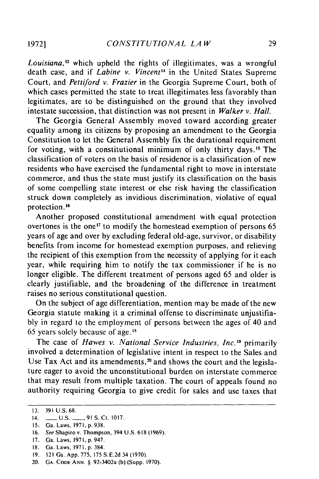*Louisiana,'3* which upheld the rights of illegitimates, was a wrongful death case, and if *Labine v. Vincent'4* in the United States Supreme Court, and *Pettiford v. Frazier* in the Georgia Supreme Court, both of which cases permitted the state to treat illegitimates less favorably than legitimates, are to be distinguished on the ground that they involved intestate succession, that distinction was not present in *Walker v. Hall.*

The Georgia General Assembly moved toward according greater equality among its citizens by proposing an amendment to the Georgia Constitution to let the General Assembly fix the durational requirement for voting, with a constitutional minimum of only thirty days." The classification of voters on the basis of residence is a classification of new residents who have exercised the fundamental right to move in interstate commerce, and thus the state must justify its classification on the basis of some compelling state interest or else risk having the classification struck down completely as invidious discrimination, violative of equal protection. **' 6**

Another proposed constitutional amendment with equal protection overtones is the one<sup>17</sup> to modify the homestead exemption of persons  $65$ years of age and over by excluding federal old-age, survivor, or disability benefits from income for homestead exemption purposes, and relieving the recipient of this exemption from the necessity of applying for it each year, while requiring him to notify the tax commissioner if he is no longer eligible. The different treatment of persons aged 65 and older is clearly justifiable, and the broadening of the difference in treatment raises no serious constitutional question.

On the subject of age differentiation, mention may be made of the new Georgia statute making it a criminal offense to discriminate unjustifiably in regard to the employment of persons between the ages of 40 and 65 years solely because of age. $18$ 

The case of *Hawes v. National Service Industries, Inc.*<sup>19</sup> primarily involved a determination of legislative intent in respect to the Sales and Use Tax Act and its amendments, $2<sup>o</sup>$  and shows the court and the legislature eager to avoid the unconstitutional burden on interstate commerce that may result from multiple taxation. The court of appeals found no authority requiring Georgia to give credit for sales and use taxes that

<sup>13.</sup> **391** U.S. 68.

<sup>14.</sup> **-** U.S. **-** 91 **S.** Ct. 1017.

<sup>15.</sup> Ga. Laws, 197 **1,** p. 938.

<sup>16.</sup> See Shapiro v. Thompson, 394 U.S. 618 (1969).

<sup>17.</sup> Ga. Laws, 197 **1,** p. 947.

<sup>18.</sup> Ga. Laws, 1971, p. 384.

<sup>19. 121</sup> Ga. App. 775, 175 S.E.2d 34 (1970).

<sup>20.</sup> **GA. CODE ANN.** § 92-3402a (b) (Supp. 1970).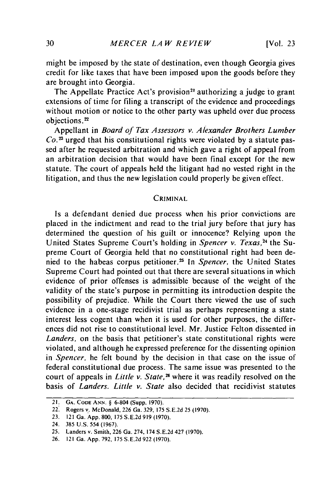might be imposed by the state of destination, even though Georgia gives credit for like taxes that have been imposed upon the goods before they are brought into Georgia.

The Appellate Practice Act's provision<sup>21</sup> authorizing a judge to grant extensions of time for filing a transcript of the evidence and proceedings without motion or notice to the other party was upheld over due process objections.<sup>22</sup>

Appellant in *Board of Tax Assessors v. Alexander Brothers Lumber Co. 3* urged that his constitutional rights were violated by a statute passed after he requested arbitration and which gave a right of appeal from an arbitration decision that would have been final except for the new statute. The court of appeals held the litigant had no vested right in the litigation, and thus the new legislation could properly be given effect.

#### CRIMINAL

Is a defendant denied due process when his prior convictions are placed in the indictment and read to the trial jury before that jury has determined the question of his guilt or innocence? Relying upon the United States Supreme Court's holding in *Spencer v. Texas*,<sup>24</sup> the Supreme Court of Georgia held that no constitutional right had been denied to the habeas corpus petitioner.25 In *Spencer,* the United States Supreme Court had pointed out that there are several situations in which evidence of prior offenses is admissible because of the weight of the validity of the state's purpose in permitting its introduction despite the possibility of prejudice. While the Court there viewed the use of such evidence in a one-stage recidivist trial as perhaps representing a state interest less cogent than when it is used for other purposes, the differences did not rise to constitutional level. Mr. Justice Felton dissented in *Landers,* on the basis that petitioner's state constitutional rights were violated, and although he expressed preference for the dissenting opinion in *Spencer,* he felt bound by the decision in that case on the issue of federal constitutional due process. The same issue was presented to the court of appeals in *Little v. State,26* where it was readily resolved on the basis of *Landers. Little v. State* also decided that recidivist statutes

<sup>21.</sup> **GA. CODE ANN.** § 6-804 (Supp. 1970).

<sup>22.</sup> Rogers **v..** McDonald, 226 Ga. 329, 175 S.E.2d 25 (1970).

<sup>23. 121</sup> Ga. App. 800, 175 S.E.2d 919 (1970).

<sup>24. 385</sup> U.S. 554 (1967).

<sup>25.</sup> Landers v. Smith, 226 Ga. 274, 174 S.E.2d 427 (1970).

<sup>26. 121</sup> Ga. App. 792, 175 S.E.2d 922 (1970).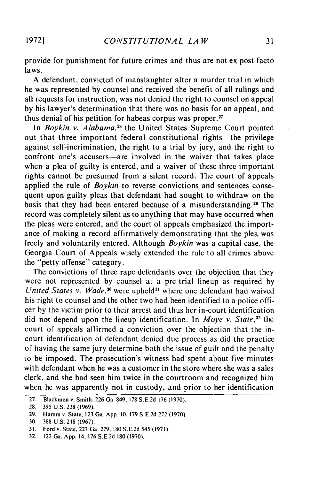provide for punishment for future crimes and thus are not ex post facto laws.

A defendant, convicted of manslaughter after a murder trial in which he was represented by counsel and received the benefit of all rulings and all requests for instruction, was not denied the right to counsel on appeal by his lawyer's determination that there was no basis for an appeal, and thus denial of his petition for habeas corpus was proper. $27$ 

In *Boykin v. Alabama*,<sup>28</sup> the United States Supreme Court pointed out that three important federal constitutional rights—the privilege against self-incrimination, the right to a trial by jury, and the right to confront one's accusers-are involved in the waiver that takes place when a plea of guilty is entered, and a waiver of these three important rights cannot be presumed from a silent record. The court of appeals applied the rule of *Boykin* to reverse convictions and sentences consequent upon guilty pleas that defendant had sought to withdraw on the basis that they had been entered because of a misunderstanding.29 The record was completely silent as to anything that may have occurred when the pleas were entered, and the court of appeals emphasized the importance of making a record affirmatively demonstrating that the plea was freely and voluntarily entered. Although *Boykin* was a capital case, the Georgia Court of Appeals wisely extended the rule to all crimes above the "petty offense" category.

The convictions of three rape defendants over the objection that they were not represented by counsel at a pre-trial lineup as required by *United States v. Wade*,<sup>30</sup> were upheld<sup>31</sup> where one defendant had waived his right to counsel and the other two had been identified to a police officer by the victim prior to their arrest and thus her in-court identification did not depend upon the lineup identification. In *Moye v. State'32* the court of appeals affirmed a conviction over the objection that the incourt identification of defendant denied due process as did the practice of having the same jury determine both the issue of guilt and the penalty to be imposed. The prosecution's witness had spent about five minutes with defendant when he was a customer in the store where she was a sales clerk, and she had seen him twice in the courtroom and recognized him when he was apparently not in custody, and prior to her identification

**19721**

<sup>27.</sup> Blackmon v. Smith, 226 Ga. 849, 178 S.E.2d 176 (1970).

<sup>28. 395</sup> U.S. 238 (1969).

<sup>29.</sup> Hamm v. State, 123 Ga. App. 10, 179 S.E.2d 272 (1970).

<sup>30. 388</sup> U.S. 218 (1967).

<sup>31.</sup> Ford v. State, 227 Ga. 279, **180** S.E.2d 545 (1971).

<sup>32. 122</sup> Ga. App. 14, 176 S.E.2d 180 (1970).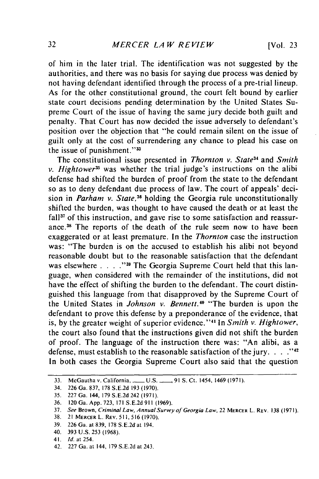[Vol. **23**

of him in the later trial. The identification was not suggested by the authorities, and there was no basis for saying due process was denied by not having defendant identified through the process of a pre-trial lineup. As for the other constitutional ground, the court felt bound by earlier state court decisions pending determination by the United States Supreme Court of the issue of having the same jury decide both guilt and penalty. That Court has now decided the issue adversely to defendant's position over the objection that "he could remain silent on the issue of guilt only at the cost of surrendering any chance to plead his case on the issue of punishment."

The constitutional issue presented in *Thornton v. State<sup>34</sup>* and *Smith v. Hightower*<sup>35</sup> was whether the trial judge's instructions on the alibi defense had shifted the burden of proof from the state to the defendant so as to deny defendant due process of law. The court of appeals' decision in *Parham v. State <sup>36</sup>*holding the Georgia rule unconstitutionally shifted the burden, was thought to have caused the death or at least the  $fall<sup>37</sup>$  of this instruction, and gave rise to some satisfaction and reassurance.38 The reports of the death of the rule seem now to have been exaggerated or at least premature. In the *Thornton* case the instruction was: "The burden is on the accused to establish his alibi not beyond reasonable doubt but to the reasonable satisfaction that the defendant was elsewhere . **. . . <sup>39</sup>**The Georgia Supreme Court held that this language, when considered with the remainder of the institutions, did not have the effect of shifting the burden to the defendant. The court distinguished this language from that disapproved by the Supreme Court of the United States in *Johnson v. Bennett.40* "The burden is upon the defendant to prove this defense by a preponderance of the evidence, that is, by the greater weight of superior evidence."<sup>41</sup> In *Smith v. Hightower*, the court also found that the instructions given did not shift the burden of proof. The language of the instruction there was: "An alibi, as a defense, must establish to the reasonable satisfaction of the jury.  $\ldots$ <sup>142</sup> In both cases the Georgia Supreme Court also said that the question

<sup>33.</sup> McGautha v. California,\_ U.S. **-** 91 S. Ct. 1454, 1469 (1971).

<sup>34. 226</sup> Ga. 837, 178 S.E.2d 193 (1970).

<sup>35. 227</sup> Ga. 144, 179 S.E.2d 242 (1971).

<sup>36. 120</sup> Ga. App. 723, 171 S.E.2d 911 (1969).

<sup>37.</sup> See Brown, Criminal Law, Annual Survey of Georgia Law, 22 MERCER L. REV. 138 (1971).

<sup>38.</sup> 21 MERCERL. REv. **511, 516** (1970).

<sup>39. 226</sup> Ga. at 839, 178 S.E.2d'at 194.

<sup>40. 393</sup> U.S. 253 (1968).

<sup>41.</sup> *Id.* at 254.

<sup>42. 227</sup> Ga. at 144, 179 S.E.2d at 243.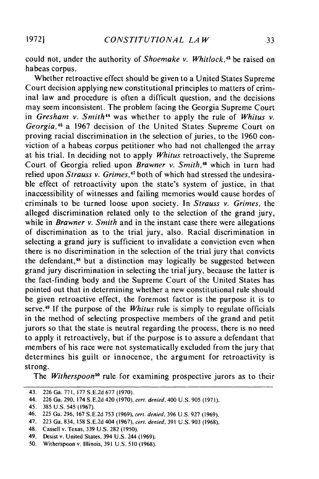could not, under the authority of *Shoemake v. Whitlock*,<sup>43</sup> be raised on habeas corpus.

Whether retroactive effect should be given to a United States Supreme Court decision applying new constitutional principles to matters of criminal law and procedure is often a difficult question, and the decisions may seem inconsistent. The problem facing the Georgia Supreme Court in *Gresham v. Smith"* was whether to apply the rule of *Whitus v. Georgia, <sup>5</sup>*a 1967 decision of the United States Supreme Court on proving racial discrimination in the selection of juries, to the 1960 conviction of a habeas corpus petitioner who had not challenged the array at his trial. In deciding not to apply *Whitus* retroactively, the Supreme Court of Georgia relied upon *Brawner v. Smith*,<sup>46</sup> which in turn had relied upon *Strauss v. Grimes*,<sup>47</sup> both of which had stressed the undesirable effect of retroactivity upon the state's system of justice, in that inaccessibility of witnesses and failing memories would cause hordes of criminals to be turned loose upon society. In *Strauss v. Grimes,* the alleged discrimination related only to the selection of the grand jury, while in *Brawner v. Smith* and in the instant case there were allegations of discrimination as to the trial jury, also. Racial discrimination in selecting a grand jury is sufficient to invalidate a conviction even when there is no discrimination in the selection of the trial jury that convicts the defendant,<sup>48</sup> but a distinction may logically be suggested between grand jury discrimination in selecting the trial'jury, because the latter is the fact-finding body and the Supreme Court of the United States has pointed out that in determining whether a new constitutional rule should be given retroactive effect, the foremost factor is the purpose it is to serve.<sup>49</sup> If the purpose of the *Whitus* rule is simply to regulate officials in the method of selecting prospective members of the grand and petit jurors so that the state is neutral regarding the process, there is no need to apply it retroactively, but if the purpose is to assure a defendant that members of his race were not systematically excluded from the jury that determines his guilt or innocence, the argument for retroactivity is strong.

The *Witherspoon50* rule for examining prospective jurors as to their

<sup>43. 226</sup> Ga. 771, 177 S.E.2d 677 (1970).

<sup>44. 226</sup> Ga. 290, 174 S.E.2d 420 (1970), cerl. denied, 400 U.S. 905 (1971).

<sup>45. 385</sup> U.S. 545 (1967).

<sup>46. 225</sup> Ga. 296, 167 S.E.2d 753 (1969), cert. denied, 396 U.S. 927 (1969).

<sup>47. 223</sup> Ga. 834, 158 S.E.2d 404 (1967), cerl. denied. 391 U.S. 903 (1968).

<sup>48.</sup> Cassell v. Texas, 339 U.S. 282 (1950).

<sup>49.</sup> Desist v. United States, 394 U.S. 244 (1969).

<sup>50.</sup> Witherspoon v. Illinois, 391 U.S. 510 (1968).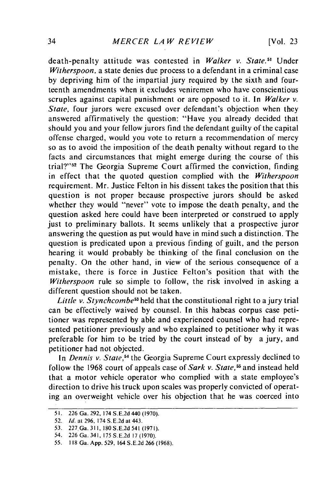**[Vol. 23**

death-penalty attitude was contested in *Walker v. State.5'* Under *Witherspoon,* a state denies due process to a defendant in a criminal case by depriving him of the impartial jury required by the sixth and fourteenth amendments when it excludes veniremen who have conscientious scruples against capital punishment or are opposed to it. In *Walker v. State,* four jurors were excused over defendant's objection when they answered affirmatively the question: "Have you already decided that should you and your fellow jurors find the defendant guilty of the capital offense charged, would you vote to return a recommendation of mercy so as to avoid the imposition of the death penalty without regard to the facts and circumstances that might emerge during the course of this trial?" **<sup>5</sup> <sup>2</sup>**The Georgia Supreme Court affirmed the conviction, finding in effect that the quoted question complied with the *Witherspoon* requirement. Mr. Justice Felton in his dissent takes the position that this question is not proper because prospective jurors should be asked whether they would "never" vote to impose the death penalty, and the question asked here could have been interpreted or construed to apply just to preliminary ballots. It seems unlikely that a prospective juror answering the question as put would have in mind such a distinction. The question is predicated upon a previous finding of guilt, and the person hearing it would probably be thinking of the final conclusion on the penalty. On the other hand, in view of the serious consequence of a mistake, there is force in Justice Felton's position that with the *Witherspoon* rule so simple to follow, the risk involved in asking a different question should not be taken.

*Little v. Stynchcombe*<sup>53</sup> held that the constitutional right to a jury trial can be effectively waived by counsel. In this habeas corpus case petitioner was represented by able and experienced counsel who had represented petitioner previously and who explained to petitioner why it was preferable for him to be tried by the court instead of by a jury, and petitioner had not objected.

In *Dennis v. State,54* the Georgia Supreme Court expressly declined to follow the 1968 court of appeals case of *Sark v. State*,<sup>55</sup> and instead held that a motor vehicle operator who complied with a state employee's direction to drive his truck upon scales was properly convicted of operating an overweight vehicle over his objection that he was coerced into

<sup>51. 226</sup>Ga. 292, 174 S.E.2d 440 (1970).

<sup>52.</sup> *Id.* at 296, 174 S. E.2d at 443.

<sup>53.</sup> 227 Ga. 311, 180 S.E.2d 541 (1971).

<sup>54. 226</sup> Ga. 341, 175 S.E.2d 17 (1970).

<sup>55. 118</sup> Ga. App. 529, 164 S.E.2d 266 (1968).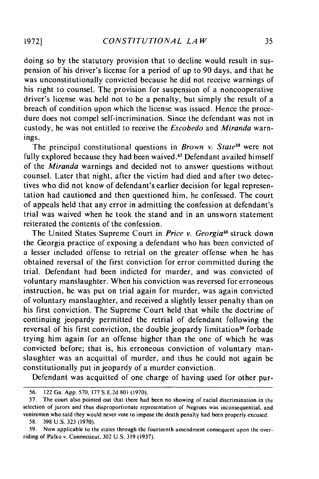doing so by the statutory provision that to decline would result in suspension of his driver's license for a period of up to 90 days, and that he was unconstitutionally convicted because he did not receive warnings of his right to counsel. The provision for suspension of a noncooperative driver's license was held not to be a penalty, but simply the result of a breach of condition upon which the license was issued. Hence the procedure does not compel self-incrimination. Since the defendant was not in custody, he was not entitled to receive the *Escobedo* and *Miranda* warnings.

The principal constitutional questions in *Brown v. State*<sup>56</sup> were not fully explored because they had been waived.<sup>57</sup> Defendant availed himself of the *Miranda* warnings and decided not to answer questions without counsel. Later that night, after the victim had died and after two detectives who did not know of defendant's earlier decision for legal representation had cautioned and then questioned him, he confessed. The court of appeals held that any error in admitting the confession at defendant's trial was waived when he took the stand and in an unsworn statement reiterated the contents of the confession.

The United States Supreme Court in *Price v. Georgia5s* struck down the Georgia practice of exposing a defendant who has been convicted of a lesser included offense to retrial on the greater offense when he has obtained reversal of the first conviction for error committed during the trial. Defendant had been indicted for murder, and was convicted of voluntary manslaughter. When his conviction was reversed for erroneous instruction, he was put on trial again for murder, was again convicted of voluntary manslaughter, and received a slightly lesser penalty than on his first conviction. The Supreme Court held that while the doctrine of continuing jeopardy permitted the retrial of defendant following the reversal of his first conviction, the double jeopardy limitation<sup>59</sup> forbade trying him again for an offense higher than the one of which he was convicted before; that is, his erroneous conviction of voluntary manslaughter was an acquittal of murder, and thus he could not again be constitutionally put in jeopardy of a murder conviction.

Defendant was acquitted of one charge of having used for other pur-

**1972]**

<sup>56. 122</sup> Ga. App. 570, 177 S.E.2d 801 (1970).

<sup>57.</sup> The court also pointed out that there had been no showing of racial discrimination in the selection of jurors and thus disproportionate representation of Negroes was inconsequential, and veniremen who said they would never vote to impose the death penalty had been properly excused.

<sup>58. 398</sup> U.S. 323 (1970).

<sup>59.</sup> Now applicable to the states through the fourteenth amendment consequent upon the overriding of Palko v. Connecticut, 302 U.S. 319 (1937).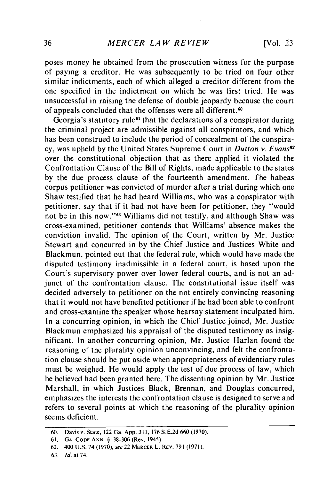poses money he obtained from the prosecution witness for the purpose of paying a creditor. He was subsequently to be tried on four other similar indictments, each of which alleged a creditor different from the one specified in the indictment on which he was first tried. He was unsuccessful in raising the defense of double jeopardy because the court of appeals concluded that the offenses were all different.<sup>60</sup>

Georgia's statutory rule<sup>61</sup> that the declarations of a conspirator during the criminal project are admissible against all conspirators, and which has been construed to include the period of concealment of the conspiracy, was upheld by the United States Supreme Court in *Dutton v. Evans62* over the constitutional objection that as there applied it violated the Confrontation Clause of the Bill of Rights, made applicable to the states by the due process clause of the fourteenth amendment. The habeas corpus petitioner was convicted of murder after a trial during which one Shaw testified that he had heard Williams, who was a conspirator with petitioner, say that if it had not have been for petitioner, they "would not be in this now."'63 Williams did not testify, and although Shaw was cross-examined, petitioner contends that Williams' absence makes the conviction invalid. The opinion of the Court, written by Mr. Justice Stewart and concurred in by the Chief Justice and Justices White and Blackmun, pointed out that the federal rule, which would have made the disputed testimony inadmissible in a federal court, is based upon the Court's supervisory power over lower federal courts, and is not an adjunct of the confrontation clause. The constitutional issue itself was decided adversely to petitioner on the not entirely convincing reasoning that it would not have benefited petitioner if he had been able to confront and cross-examine the speaker whose hearsay statement inculpated him. In a concurring opinion, in which the Chief Justice joined, Mr. Justice Blackmun emphasized his appraisal of the disputed testimony as insignificant. In another concurring opinion, Mr. Justice Harlan found the reasoning of the plurality opinion unconvincing, and felt the confrontation clause should be put aside when appropriateness of evidentiary rules must be weighed. He would apply the test of due jrocess of law, which he believed had been granted here. The dissenting opinion by Mr. Justice Marshall, in which Justices Black, Brennan, and Douglas concurred, emphasizes the interests the confrontation clause is designed to serve and refers to several points at which the reasoning of the plurality opinion seems deficient.

<sup>60.</sup> Davis v. State, 122 Ga. App. 311, 176 S.E.2d 660 (1970).

<sup>61.</sup> GA. CODE **ANN.** § 38-306 (Rev. 1945).

<sup>62. 400</sup> U.S. 74 (1970), see 22 MERCER L. REv. 791 (1971).

**<sup>63.</sup>** *Id.* at 74.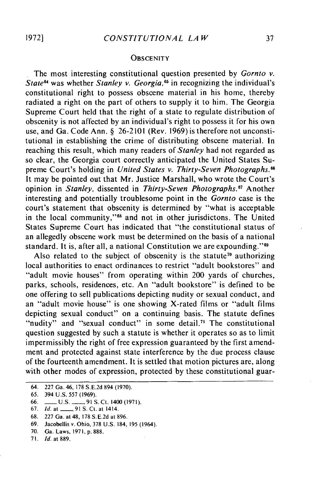### **OBSCENITY**

The most interesting constitutional question presented by *Gornto v.* State<sup>64</sup> was whether *Stanley v. Georgia*,<sup>65</sup> in recognizing the individual's constitutional right to possess obscene material in his home, thereby radiated a right on the part of others to supply it to him. The Georgia Supreme Court held that the right of a state to regulate distribution of obscenity is not affected by an individual's right to possess it for his own use, and Ga. Code Ann. § 26-2101 (Rev. 1969) is therefore not unconstitutional in establishing the crime of distributing obscene material. In reaching this result, which many readers of *Stanley* had not regarded as so clear, the Georgia court correctly anticipated the United States Supreme Court's holding in *United States v. Thirty-Seven Photographs.6* It may be pointed out that Mr. Justice Marshall, who wrote the Court's opinion in *Stanley*, dissented in *Thirty-Seven Photographs*.<sup>67</sup> Another interesting and potentially troublesome point in the *Gornto* case is the court's statement that obscenity is determined by "what is acceptable in the local community,"<sup>68</sup> and not in other jurisdictons. The United States Supreme Court has indicated that "the constitutional status of an allegedly obscene work must be determined on the basis of a national standard. It is, after all, a national Constitution we are expounding."<sup>89</sup>

Also related to the subject of obscenity is the statute<sup>70</sup> authorizing local authorities to enact ordinances to restrict "adult bookstores" and "adult movie houses" from operating within 200 yards of churches, parks, schools, residences, etc. An "adult bookstore" is defined to be one offering to sell publications depicting nudity or sexual conduct, and an "adult movie house" is one showing X-rated films or "adult films depicting sexual conduct" on a continuing basis. The statute defines "nudity" and "sexual conduct" in some detail.<sup>71</sup> The constitutional question suggested by such a statute is whether it operates so as to limit impermissibly the right of free expression guaranteed by the first amendment and protected against state interference by the due process clause of the fourteenth amendment. It is settled that motion pictures are, along with other modes of expression, protected by these constitutional guar-

*71. Id.* at 889.

<sup>64. 227</sup> Ga. 46, 178 S.E.2d 894 (1970).

<sup>65. 394</sup> U.S. 557 (1969).

<sup>66.</sup> \_\_ U.S. **-** 91 S. Ct. 1400 (1971).

<sup>67.</sup> *Id.* at **- ,91S.** Ct. at 1414.

<sup>68. 227</sup> Ga. at 48, 178 S.E.2d at 896.

<sup>69.</sup> Jacobellis v. Ohio, 378 U.S. 184, 195 (1964).

<sup>70.</sup> Ga. Laws, 1971, p. 888.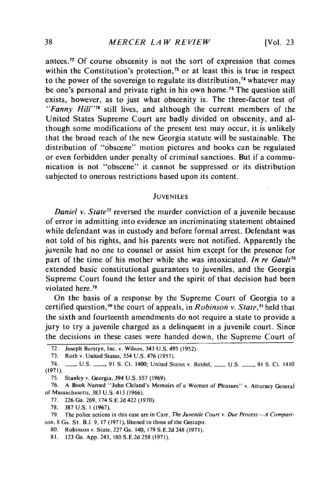antees.72 Of course obscenity is not the sort of expression that comes within the Constitution's protection,<sup>73</sup> or at least this is true in respect to the power of the sovereign to regulate its distribution,<sup>74</sup> whatever may be one's personal and private right in his own home.<sup>75</sup> The question still exists, however, as to just what obscenity is. The three-factor test of *"Fanny Hill"76* still lives, and although the current members of the United States Supreme Court are badly divided on obscenity, and although some modifications of the present test may occur, it is unlikely that the broad reach of the new Georgia statute will be sustainable. The distribution of "obscene" motion pictures and books can be regulated or even forbidden under penalty of criminal sanctions. But if a communication is not "obscene" it cannot be suppressed or its distribution subjected to onerous restrictions based upon its content.

#### JUVENILES

*Daniel v. State<sup>77</sup>* reversed the murder conviction of a juvenile because of error in admitting into evidence an incriminating statement obtained while defendant was in custody and before formal arrest. Defendant was not told of his rights, and his parents were not notified. Apparently the juvenile had no one to counsel or assist him except for the presence for part of the time of his mother while she was intoxicated. *In re Gault<sup>n</sup>* extended basic constitutional guarantees to juveniles, and the Georgia Supreme Court found the letter and the spirit of that decision had been violated here.<sup>79</sup>

On the basis of a response by the Supreme Court of Georgia to a certified question,<sup>80</sup> the court of appeals, in *Robinson v. State*,<sup>81</sup> held that the sixth and fourteenth amendments do not require a state to provide a jury to try a juvenile charged as a delinquent in a juvenile court. Since the decisions in these cases were handed down, the Supreme Court of

80. Robinson v. State, 227 Ga. 140, 179 S.E.2d 248 (1971).

<sup>72.</sup> Joseph Burstyn, Inc. v. Wilson, 343 U.S. 495 (1952).

<sup>73.</sup> Roth v. United States, 354 U.S. 476 (1957).

<sup>74.</sup> **-** U.S. **-\_,** 91 **S.** Ct. 1400; United States v. Reidel, **-** U.S. **\_** 91 **S.** Ct. 1410 (1971).

<sup>75.</sup> Stanley v. Georgia, 394 U.S. 557 (1969).

<sup>76.</sup> A Book Named "John Cleland's Memoirs of a Woman of Pleasure" v. Attorney General of Massachusetts, 383 U.S. 413 (1966).

<sup>77. 226</sup> Ga. 269, 174 S.E.2d 422 (1970).

<sup>78. 387</sup> U.S. **1** (1967).

<sup>79.</sup> The police actions in this case are in Carr, *The Juvenile Court v. Due Process-A Comparison,* 8 **GA. ST.** B.J. 9, 17 (197 1), likened to those of the Gestapo.

<sup>81. 123</sup> Ga. App. 243, 180 S.E.2d 258 (1971).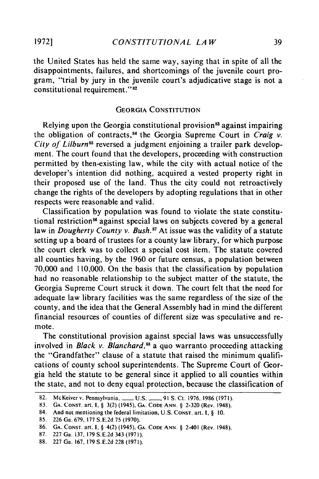**1972]**

the United States has held the same way, saying that in spite of all the disappointments, failures, and shortcomings of the juvenile court program, "trial by jury in the juvenile court's adjudicative stage is not a constitutional requirement."<sup>82</sup>

### **GEORGIA CONSTITUTION**

Relying upon the Georgia constitutional provision<sup>83</sup> against impairing the obligation of contracts, 4 the Georgia Supreme Court in *Craig v.* City of Lilburn<sup>85</sup> reversed a judgment enjoining a trailer park development. The court found that the developers, proceeding with construction permitted **by** then-existing law, while the city with actual notice of the developer's intention did nothing, acquired a vested property right in their proposed use of the land. Thus the city could not retroactively change the rights of the developers **by** adopting regulations that in other respects were reasonable and valid.

Classification by population was found to violate the state constitutional restriction<sup>86</sup> against special laws on subjects covered by a general law in *Dougherty County v. Bush*.<sup>87</sup> At issue was the validity of a statute setting up a board of trustees for a county law library, for which purpose the court clerk was to collect a special cost item. The statute covered all counties having, by the 1960 or future census, a population between 70,000 and 110,000. On the basis that the classification by population had no reasonable relationship to the subject matter of the statute, the Georgia Supreme Court struck it down. The court felt that the need for adequate law library facilities was the same regardless of the size of the county, and the idea that the General Assembly had in mind the different financial resources of counties of different size was speculative and remote.

The constitutional provision against special laws was unsuccessfully involved in *Black v. Blanchard*,<sup>88</sup> a quo warranto proceeding attacking the "Grandfather" clause of a statute that raised the minimum qualifications of county school superintendents. The Supreme Court of Georgia held the statute to be general since it applied to all counties within the state, and not to deny equal protection, because the classification of

<sup>82.</sup> McKeiver v. Pennsylvania, \_\_\_\_ U.S. \_\_\_\_, 91 S. Ct. 1976, 1986 (1971).

<sup>83.</sup> **GA.** CONST. art. i, § 3(2) (1945), **GA.** CODE ANN. § 2-320 (Rev. 1948).

<sup>84.</sup> And not mentioning the federal limitation, U.S. CONST. art. I, § 10.

<sup>85. 226</sup> Ga. 679, 177 S.E.2d 75 (1970).

**<sup>86.</sup> GA. CONST.** art. **i,** § 4(2) (1945), **GA.** CODE ANN. § 2-401 (Rev. 1948).

<sup>87. 227</sup> Ga. 137, 179 S.E.2d 343 (1971).

<sup>88. 227</sup> Ga. 167, 179 S.E.2d 228 (1971).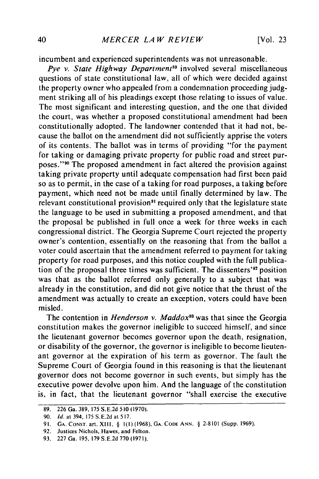incumbent and experienced superintendents was not unreasonable.

Pye v. State Highway Department<sup>89</sup> involved several miscellaneous questions of state constitutional law, all of which were decided against the property owner who appealed from a condemnation proceeding judgment striking all of his pleadings except those relating to issues of value. The most significant and interesting question, and the one that divided the court, was whether a proposed constitutional amendment had been constitutionally adopted. The landowner contended that it had not, because the ballot on the amendment did not sufficiently apprise the voters of its contents. The ballot was in terms of providing "for the payment for taking or damaging private property for public road and street purposes." 90 The proposed amendment in fact altered the provision against taking private property until adequate compensation had first been paid so as to permit, in the case of a taking for road purposes, a taking before payment, which need not be made until finally determined by law. The relevant constitutional provision<sup>91</sup> required only that the legislature state the language to be used in submitting a proposed amendment, and that the proposal be published in full once a week for three weeks in each congressional district. The Georgia Supreme Court rejected the property owner's contention, essentially on the reasoning that from the ballot a voter could ascertain that the amendment referred to payment for taking property for road purposes, and this notice coupled with the full publication of the proposal three times was sufficient. The dissenters'<sup>92</sup> position was that as the ballot referred only generally to a subject that was already in the constitution, and did not give notice that the thrust of the amendment was actually to create an exception, voters could have been misled.

The contention in *Henderson v. Maddox*<sup>93</sup> was that since the Georgia constitution makes the governor ineligible to succeed himself, and since the lieutenant governor becomes governor upon the death, resignation, or disability of the governor, the governor is ineligible to become lieutenant governor at the expiration of his term as governor. The fault the Supreme Court of Georgia found in this reasoning is that the lieutenant governor does not become governor in such events, but simply has the executive power devolve upon him. And the language of the constitution is, in fact, that the lieutenant governor "shall exercise the executive

<sup>89. 226</sup> Ga. 389, 175 S.E.2d **510** (1970).

**<sup>90.</sup> Id.** at 394, 175 **S.E.2d** at **517.**

**<sup>91.</sup>** GA. CONST. art. XIII, § **l(l)** (1968), GA. **CODE** ANN. § 2-8101 (Supp. 1969).

**<sup>92.</sup>** Justices Nichols, Hawes, and Felton.

**<sup>93.</sup>** 227 Ga. **195, 179 S.E.2d 770** (1971).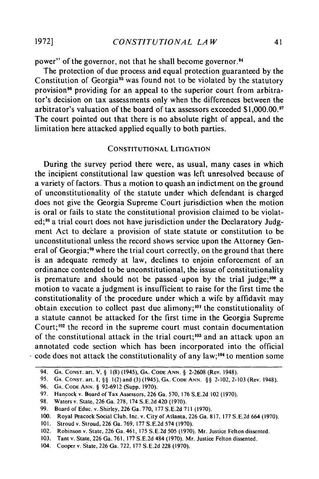power" of the governor, not that he shall become governor.94

The protection of due process and equal protection guaranteed by the Constitution of Georgia<sup>95</sup> was found not to be violated by the statutory provision<sup>96</sup> providing for an appeal to the superior court from arbitrator's decision on tax assessments only when the differences between the arbitrator's valuation of the board of tax assessors exceeded **\$1,000.00.1** The court pointed out that there is no absolute right of appeal, and the limitation here attacked applied equally to both parties.

### **CONSTITUTIONAL LITIGATION**

During the survey period there were, as usual, many cases in which the incipient constitutional law question was left unresolved because of a variety of factors. Thus a motion to quash an indictment on the ground of unconstitutionality of the statute under which defendant is charged does not give the Georgia Supreme Court jurisdiction when the motion is oral or fails to state the constitutional provision claimed to be violated;<sup>98</sup> a trial court does not have jurisdiction under the Declaratory Judgment Act to declare a provision of state statute or constitution to be unconstitutional unless the record shows service upon the Attorney General of Georgia;<sup>99</sup> where the trial court correctly, on the ground that there is an adequate remedy at law, declines to enjoin enforcement of an ordinance contended to be unconstitutional, the issue of constitutionality is premature and should not be passed upon by the trial judge;<sup>100</sup> a motion to vacate a judgment is insufficient to raise for the first time the constitutionality of the procedure under which a wife by affidavit may obtain execution to collect past due alimony;<sup>101</sup> the constitutionality of a statute cannot be attacked for the first time in the Georgia Supreme Court;<sup>102</sup> the record in the supreme court must contain documentation of the constitutional attack in the trial court;<sup>103</sup> and an attack upon an annotated code section which has been incorporated into the official  $\cdot$  code does not attack the constitutionality of any law;<sup>104</sup> to mention some

<sup>94.</sup> **GA.** CONST. art. V, § 1(8) (1945), **GA. CODE ANN.** § 2-2608 (Rev. 1948).

<sup>95.</sup> **GA.** CONST. art. I, **§§** ](2) and (3) (1945), GA. CODE **ANN.** §§ 2-102, 2-103 (Rev. 1948).

<sup>96.</sup> **GA.** CODE ANN. § 92-6912 (Supp. 1970).

<sup>97.</sup> Hancock v. Board of Tax Assessors, 226 Ga. 570, 176 S.E.2d 102 (1970).

<sup>98.</sup> Waters v. State, 226 Ga. 278, 174 S.E.2d 420 (1970).

<sup>99.</sup> Board of Educ. v. Shirley, 226 Ga. 770, 177 S.E.2d 711 (1970).

<sup>100.</sup> Royal Peacock Social Club, Inc. v. City of Atlanta, 226 Ga. 817, 177 S.E.2d 664 (1970).

<sup>101.</sup> Stroud v. Stroud, 226 Ga. 769, 177 S.E.2d 574 (1970).

<sup>102.</sup> Robinson v. State, 226 Ga. 461, 175 S.E.2d 505 (1970). Mr. Justice Felton dissented.

<sup>103.</sup> Tant v. State, 226 Ga. 761, 177 S.E.2d 484 (1970). Mr. Justice Felton dissented.

<sup>104.</sup> Cooper v. State, 226 Ga. 722, 177 S.E.2d 228 (1970).